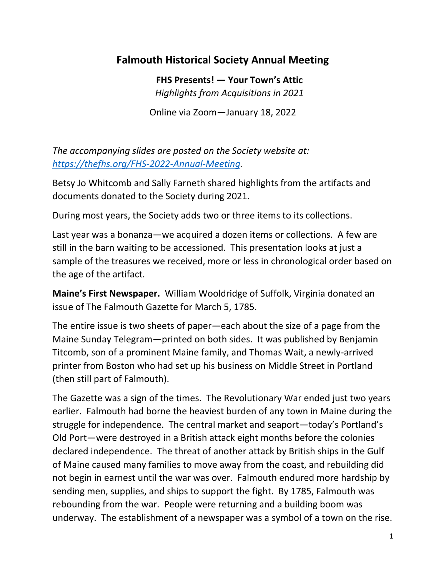## **Falmouth Historical Society Annual Meeting**

**FHS Presents! — Your Town's Attic** *Highlights from Acquisitions in 2021* Online via Zoom—January 18, 2022

*The accompanying slides are posted on the Society website at: [https://thefhs.org/FHS-2022-Annual-Meeting.](https://thefhs.org/FHS-2022-Annual-Meeting)*

Betsy Jo Whitcomb and Sally Farneth shared highlights from the artifacts and documents donated to the Society during 2021.

During most years, the Society adds two or three items to its collections.

Last year was a bonanza—we acquired a dozen items or collections. A few are still in the barn waiting to be accessioned. This presentation looks at just a sample of the treasures we received, more or less in chronological order based on the age of the artifact.

**Maine's First Newspaper.** William Wooldridge of Suffolk, Virginia donated an issue of The Falmouth Gazette for March 5, 1785.

The entire issue is two sheets of paper—each about the size of a page from the Maine Sunday Telegram—printed on both sides. It was published by Benjamin Titcomb, son of a prominent Maine family, and Thomas Wait, a newly-arrived printer from Boston who had set up his business on Middle Street in Portland (then still part of Falmouth).

The Gazette was a sign of the times. The Revolutionary War ended just two years earlier. Falmouth had borne the heaviest burden of any town in Maine during the struggle for independence. The central market and seaport—today's Portland's Old Port—were destroyed in a British attack eight months before the colonies declared independence. The threat of another attack by British ships in the Gulf of Maine caused many families to move away from the coast, and rebuilding did not begin in earnest until the war was over. Falmouth endured more hardship by sending men, supplies, and ships to support the fight. By 1785, Falmouth was rebounding from the war. People were returning and a building boom was underway. The establishment of a newspaper was a symbol of a town on the rise.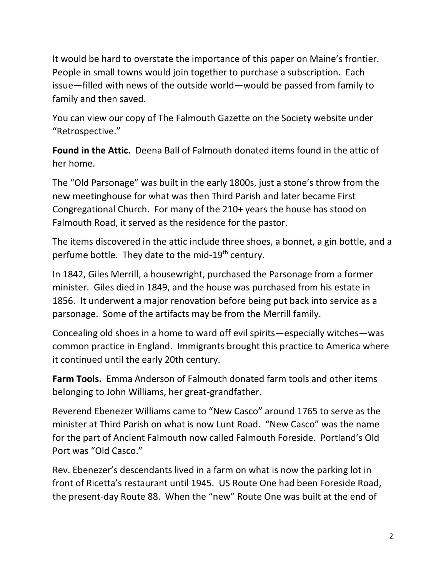It would be hard to overstate the importance of this paper on Maine's frontier. People in small towns would join together to purchase a subscription. Each issue—filled with news of the outside world—would be passed from family to family and then saved.

You can view our copy of The Falmouth Gazette on the Society website under "Retrospective."

**Found in the Attic.** Deena Ball of Falmouth donated items found in the attic of her home.

The "Old Parsonage" was built in the early 1800s, just a stone's throw from the new meetinghouse for what was then Third Parish and later became First Congregational Church. For many of the 210+ years the house has stood on Falmouth Road, it served as the residence for the pastor.

The items discovered in the attic include three shoes, a bonnet, a gin bottle, and a perfume bottle. They date to the mid-19<sup>th</sup> century.

In 1842, Giles Merrill, a housewright, purchased the Parsonage from a former minister. Giles died in 1849, and the house was purchased from his estate in 1856. It underwent a major renovation before being put back into service as a parsonage. Some of the artifacts may be from the Merrill family.

Concealing old shoes in a home to ward off evil spirits—especially witches—was common practice in England. Immigrants brought this practice to America where it continued until the early 20th century.

**Farm Tools.** Emma Anderson of Falmouth donated farm tools and other items belonging to John Williams, her great-grandfather.

Reverend Ebenezer Williams came to "New Casco" around 1765 to serve as the minister at Third Parish on what is now Lunt Road. "New Casco" was the name for the part of Ancient Falmouth now called Falmouth Foreside. Portland's Old Port was "Old Casco."

Rev. Ebenezer's descendants lived in a farm on what is now the parking lot in front of Ricetta's restaurant until 1945. US Route One had been Foreside Road, the present-day Route 88. When the "new" Route One was built at the end of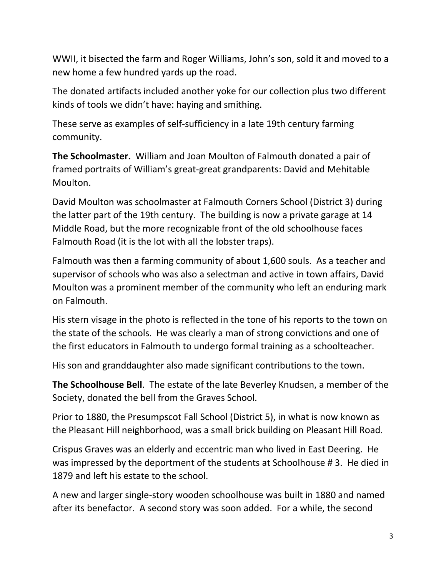WWII, it bisected the farm and Roger Williams, John's son, sold it and moved to a new home a few hundred yards up the road.

The donated artifacts included another yoke for our collection plus two different kinds of tools we didn't have: haying and smithing.

These serve as examples of self-sufficiency in a late 19th century farming community.

**The Schoolmaster.** William and Joan Moulton of Falmouth donated a pair of framed portraits of William's great-great grandparents: David and Mehitable Moulton.

David Moulton was schoolmaster at Falmouth Corners School (District 3) during the latter part of the 19th century. The building is now a private garage at 14 Middle Road, but the more recognizable front of the old schoolhouse faces Falmouth Road (it is the lot with all the lobster traps).

Falmouth was then a farming community of about 1,600 souls. As a teacher and supervisor of schools who was also a selectman and active in town affairs, David Moulton was a prominent member of the community who left an enduring mark on Falmouth.

His stern visage in the photo is reflected in the tone of his reports to the town on the state of the schools. He was clearly a man of strong convictions and one of the first educators in Falmouth to undergo formal training as a schoolteacher.

His son and granddaughter also made significant contributions to the town.

**The Schoolhouse Bell**. The estate of the late Beverley Knudsen, a member of the Society, donated the bell from the Graves School.

Prior to 1880, the Presumpscot Fall School (District 5), in what is now known as the Pleasant Hill neighborhood, was a small brick building on Pleasant Hill Road.

Crispus Graves was an elderly and eccentric man who lived in East Deering. He was impressed by the deportment of the students at Schoolhouse # 3. He died in 1879 and left his estate to the school.

A new and larger single-story wooden schoolhouse was built in 1880 and named after its benefactor. A second story was soon added. For a while, the second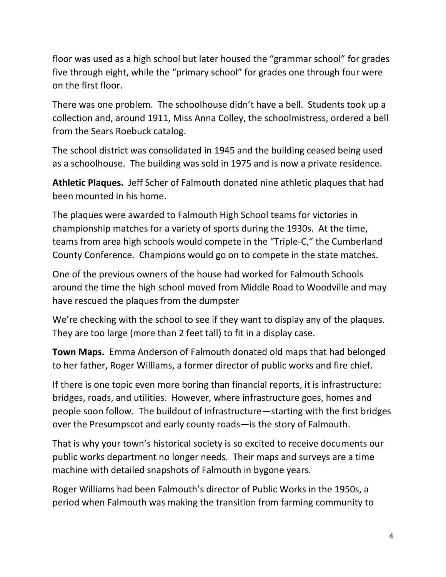floor was used as a high school but later housed the "grammar school" for grades five through eight, while the "primary school" for grades one through four were on the first floor.

There was one problem. The schoolhouse didn't have a bell. Students took up a collection and, around 1911, Miss Anna Colley, the schoolmistress, ordered a bell from the Sears Roebuck catalog.

The school district was consolidated in 1945 and the building ceased being used as a schoolhouse. The building was sold in 1975 and is now a private residence.

**Athletic Plaques.** Jeff Scher of Falmouth donated nine athletic plaques that had been mounted in his home.

The plaques were awarded to Falmouth High School teams for victories in championship matches for a variety of sports during the 1930s. At the time, teams from area high schools would compete in the "Triple-C," the Cumberland County Conference. Champions would go on to compete in the state matches.

One of the previous owners of the house had worked for Falmouth Schools around the time the high school moved from Middle Road to Woodville and may have rescued the plaques from the dumpster

We're checking with the school to see if they want to display any of the plaques. They are too large (more than 2 feet tall) to fit in a display case.

**Town Maps.** Emma Anderson of Falmouth donated old maps that had belonged to her father, Roger Williams, a former director of public works and fire chief.

If there is one topic even more boring than financial reports, it is infrastructure: bridges, roads, and utilities. However, where infrastructure goes, homes and people soon follow. The buildout of infrastructure—starting with the first bridges over the Presumpscot and early county roads—is the story of Falmouth.

That is why your town's historical society is so excited to receive documents our public works department no longer needs. Their maps and surveys are a time machine with detailed snapshots of Falmouth in bygone years.

Roger Williams had been Falmouth's director of Public Works in the 1950s, a period when Falmouth was making the transition from farming community to